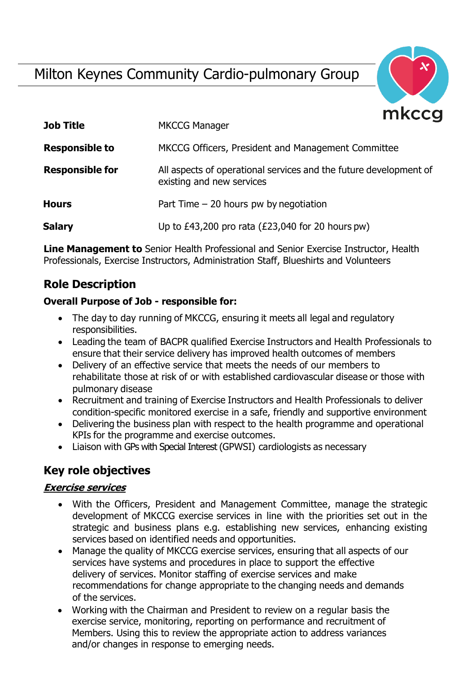# Milton Keynes Community Cardio-pulmonary Group



| <b>Job Title</b>       | <b>MKCCG Manager</b>                                                                           |
|------------------------|------------------------------------------------------------------------------------------------|
| <b>Responsible to</b>  | MKCCG Officers, President and Management Committee                                             |
| <b>Responsible for</b> | All aspects of operational services and the future development of<br>existing and new services |
| <b>Hours</b>           | Part Time $-20$ hours pw by negotiation                                                        |
| <b>Salary</b>          | Up to $£43,200$ pro rata ( $£23,040$ for 20 hours pw)                                          |

**Line Management to** Senior Health Professional and Senior Exercise Instructor, Health Professionals, Exercise Instructors, Administration Staff, Blueshirts and Volunteers

# **Role Description**

#### **Overall Purpose of Job - responsible for:**

- The day to day running of MKCCG, ensuring it meets all legal and regulatory responsibilities.
- Leading the team of BACPR qualified Exercise Instructors and Health Professionals to ensure that their service delivery has improved health outcomes of members
- Delivery of an effective service that meets the needs of our members to rehabilitate those at risk of or with established cardiovascular disease or those with pulmonary disease
- Recruitment and training of Exercise Instructors and Health Professionals to deliver condition-specific monitored exercise in a safe, friendly and supportive environment
- Delivering the business plan with respect to the health programme and operational KPIs for the programme and exercise outcomes.
- Liaison with GPs with Special Interest (GPWSI) cardiologists as necessary

# **Key role objectives**

#### **Exercise services**

- With the Officers, President and Management Committee, manage the strategic development of MKCCG exercise services in line with the priorities set out in the strategic and business plans e.g. establishing new services, enhancing existing services based on identified needs and opportunities.
- Manage the quality of MKCCG exercise services, ensuring that all aspects of our services have systems and procedures in place to support the effective delivery of services. Monitor staffing of exercise services and make recommendations for change appropriate to the changing needs and demands of the services.
- Working with the Chairman and President to review on a regular basis the exercise service, monitoring, reporting on performance and recruitment of Members. Using this to review the appropriate action to address variances and/or changes in response to emerging needs.